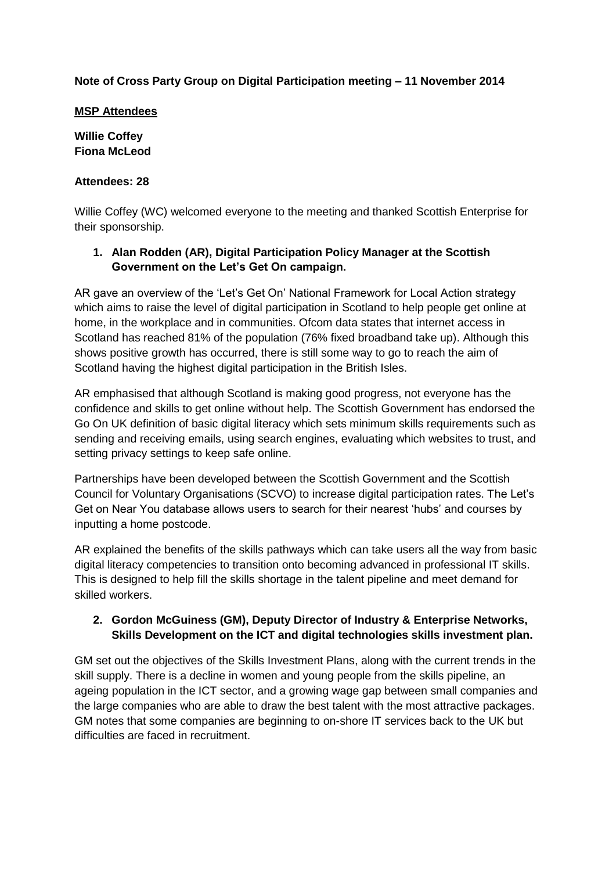# **Note of Cross Party Group on Digital Participation meeting – 11 November 2014**

#### **MSP Attendees**

**Willie Coffey Fiona McLeod**

#### **Attendees: 28**

Willie Coffey (WC) welcomed everyone to the meeting and thanked Scottish Enterprise for their sponsorship.

# **1. Alan Rodden (AR), Digital Participation Policy Manager at the Scottish Government on the Let's Get On campaign.**

AR gave an overview of the 'Let's Get On' National Framework for Local Action strategy which aims to raise the level of digital participation in Scotland to help people get online at home, in the workplace and in communities. Ofcom data states that internet access in Scotland has reached 81% of the population (76% fixed broadband take up). Although this shows positive growth has occurred, there is still some way to go to reach the aim of Scotland having the highest digital participation in the British Isles.

AR emphasised that although Scotland is making good progress, not everyone has the confidence and skills to get online without help. The Scottish Government has endorsed the Go On UK definition of basic digital literacy which sets minimum skills requirements such as sending and receiving emails, using search engines, evaluating which websites to trust, and setting privacy settings to keep safe online.

Partnerships have been developed between the Scottish Government and the Scottish Council for Voluntary Organisations (SCVO) to increase digital participation rates. The Let's Get on Near You database allows users to search for their nearest 'hubs' and courses by inputting a home postcode.

AR explained the benefits of the skills pathways which can take users all the way from basic digital literacy competencies to transition onto becoming advanced in professional IT skills. This is designed to help fill the skills shortage in the talent pipeline and meet demand for skilled workers.

### **2. Gordon McGuiness (GM), Deputy Director of Industry & Enterprise Networks, Skills Development on the ICT and digital technologies skills investment plan.**

GM set out the objectives of the Skills Investment Plans, along with the current trends in the skill supply. There is a decline in women and young people from the skills pipeline, an ageing population in the ICT sector, and a growing wage gap between small companies and the large companies who are able to draw the best talent with the most attractive packages. GM notes that some companies are beginning to on-shore IT services back to the UK but difficulties are faced in recruitment.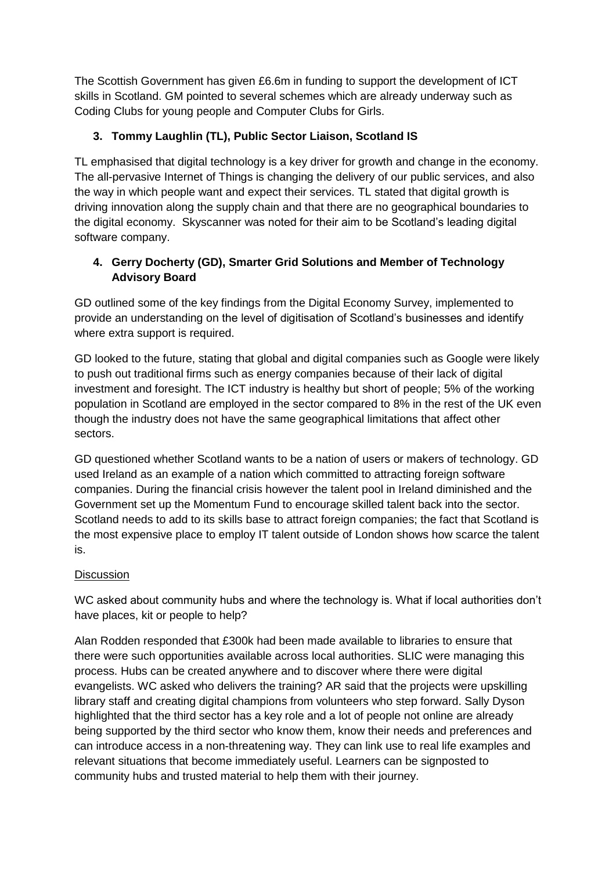The Scottish Government has given £6.6m in funding to support the development of ICT skills in Scotland. GM pointed to several schemes which are already underway such as Coding Clubs for young people and Computer Clubs for Girls.

# **3. Tommy Laughlin (TL), Public Sector Liaison, Scotland IS**

TL emphasised that digital technology is a key driver for growth and change in the economy. The all-pervasive Internet of Things is changing the delivery of our public services, and also the way in which people want and expect their services. TL stated that digital growth is driving innovation along the supply chain and that there are no geographical boundaries to the digital economy. Skyscanner was noted for their aim to be Scotland's leading digital software company.

# **4. Gerry Docherty (GD), Smarter Grid Solutions and Member of Technology Advisory Board**

GD outlined some of the key findings from the Digital Economy Survey, implemented to provide an understanding on the level of digitisation of Scotland's businesses and identify where extra support is required.

GD looked to the future, stating that global and digital companies such as Google were likely to push out traditional firms such as energy companies because of their lack of digital investment and foresight. The ICT industry is healthy but short of people; 5% of the working population in Scotland are employed in the sector compared to 8% in the rest of the UK even though the industry does not have the same geographical limitations that affect other sectors.

GD questioned whether Scotland wants to be a nation of users or makers of technology. GD used Ireland as an example of a nation which committed to attracting foreign software companies. During the financial crisis however the talent pool in Ireland diminished and the Government set up the Momentum Fund to encourage skilled talent back into the sector. Scotland needs to add to its skills base to attract foreign companies; the fact that Scotland is the most expensive place to employ IT talent outside of London shows how scarce the talent is.

### **Discussion**

WC asked about community hubs and where the technology is. What if local authorities don't have places, kit or people to help?

Alan Rodden responded that £300k had been made available to libraries to ensure that there were such opportunities available across local authorities. SLIC were managing this process. Hubs can be created anywhere and to discover where there were digital evangelists. WC asked who delivers the training? AR said that the projects were upskilling library staff and creating digital champions from volunteers who step forward. Sally Dyson highlighted that the third sector has a key role and a lot of people not online are already being supported by the third sector who know them, know their needs and preferences and can introduce access in a non-threatening way. They can link use to real life examples and relevant situations that become immediately useful. Learners can be signposted to community hubs and trusted material to help them with their journey.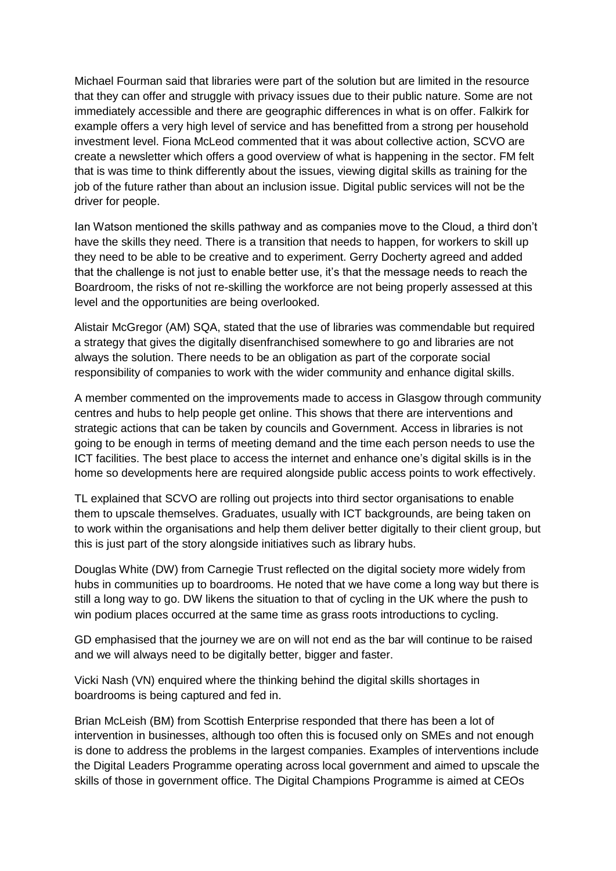Michael Fourman said that libraries were part of the solution but are limited in the resource that they can offer and struggle with privacy issues due to their public nature. Some are not immediately accessible and there are geographic differences in what is on offer. Falkirk for example offers a very high level of service and has benefitted from a strong per household investment level. Fiona McLeod commented that it was about collective action, SCVO are create a newsletter which offers a good overview of what is happening in the sector. FM felt that is was time to think differently about the issues, viewing digital skills as training for the job of the future rather than about an inclusion issue. Digital public services will not be the driver for people.

Ian Watson mentioned the skills pathway and as companies move to the Cloud, a third don't have the skills they need. There is a transition that needs to happen, for workers to skill up they need to be able to be creative and to experiment. Gerry Docherty agreed and added that the challenge is not just to enable better use, it's that the message needs to reach the Boardroom, the risks of not re-skilling the workforce are not being properly assessed at this level and the opportunities are being overlooked.

Alistair McGregor (AM) SQA, stated that the use of libraries was commendable but required a strategy that gives the digitally disenfranchised somewhere to go and libraries are not always the solution. There needs to be an obligation as part of the corporate social responsibility of companies to work with the wider community and enhance digital skills.

A member commented on the improvements made to access in Glasgow through community centres and hubs to help people get online. This shows that there are interventions and strategic actions that can be taken by councils and Government. Access in libraries is not going to be enough in terms of meeting demand and the time each person needs to use the ICT facilities. The best place to access the internet and enhance one's digital skills is in the home so developments here are required alongside public access points to work effectively.

TL explained that SCVO are rolling out projects into third sector organisations to enable them to upscale themselves. Graduates, usually with ICT backgrounds, are being taken on to work within the organisations and help them deliver better digitally to their client group, but this is just part of the story alongside initiatives such as library hubs.

Douglas White (DW) from Carnegie Trust reflected on the digital society more widely from hubs in communities up to boardrooms. He noted that we have come a long way but there is still a long way to go. DW likens the situation to that of cycling in the UK where the push to win podium places occurred at the same time as grass roots introductions to cycling.

GD emphasised that the journey we are on will not end as the bar will continue to be raised and we will always need to be digitally better, bigger and faster.

Vicki Nash (VN) enquired where the thinking behind the digital skills shortages in boardrooms is being captured and fed in.

Brian McLeish (BM) from Scottish Enterprise responded that there has been a lot of intervention in businesses, although too often this is focused only on SMEs and not enough is done to address the problems in the largest companies. Examples of interventions include the Digital Leaders Programme operating across local government and aimed to upscale the skills of those in government office. The Digital Champions Programme is aimed at CEOs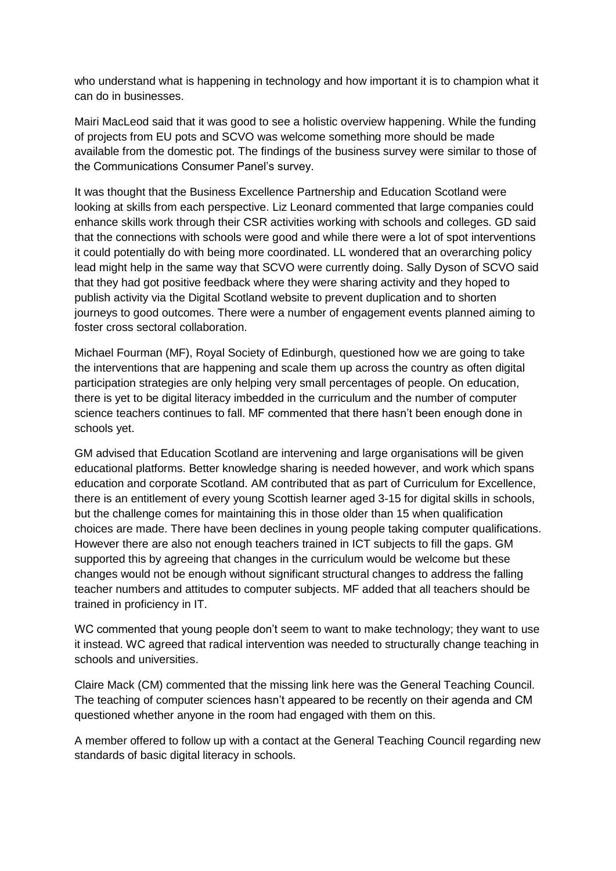who understand what is happening in technology and how important it is to champion what it can do in businesses.

Mairi MacLeod said that it was good to see a holistic overview happening. While the funding of projects from EU pots and SCVO was welcome something more should be made available from the domestic pot. The findings of the business survey were similar to those of the Communications Consumer Panel's survey.

It was thought that the Business Excellence Partnership and Education Scotland were looking at skills from each perspective. Liz Leonard commented that large companies could enhance skills work through their CSR activities working with schools and colleges. GD said that the connections with schools were good and while there were a lot of spot interventions it could potentially do with being more coordinated. LL wondered that an overarching policy lead might help in the same way that SCVO were currently doing. Sally Dyson of SCVO said that they had got positive feedback where they were sharing activity and they hoped to publish activity via the Digital Scotland website to prevent duplication and to shorten journeys to good outcomes. There were a number of engagement events planned aiming to foster cross sectoral collaboration.

Michael Fourman (MF), Royal Society of Edinburgh, questioned how we are going to take the interventions that are happening and scale them up across the country as often digital participation strategies are only helping very small percentages of people. On education, there is yet to be digital literacy imbedded in the curriculum and the number of computer science teachers continues to fall. MF commented that there hasn't been enough done in schools yet.

GM advised that Education Scotland are intervening and large organisations will be given educational platforms. Better knowledge sharing is needed however, and work which spans education and corporate Scotland. AM contributed that as part of Curriculum for Excellence, there is an entitlement of every young Scottish learner aged 3-15 for digital skills in schools, but the challenge comes for maintaining this in those older than 15 when qualification choices are made. There have been declines in young people taking computer qualifications. However there are also not enough teachers trained in ICT subjects to fill the gaps. GM supported this by agreeing that changes in the curriculum would be welcome but these changes would not be enough without significant structural changes to address the falling teacher numbers and attitudes to computer subjects. MF added that all teachers should be trained in proficiency in IT.

WC commented that young people don't seem to want to make technology; they want to use it instead. WC agreed that radical intervention was needed to structurally change teaching in schools and universities.

Claire Mack (CM) commented that the missing link here was the General Teaching Council. The teaching of computer sciences hasn't appeared to be recently on their agenda and CM questioned whether anyone in the room had engaged with them on this.

A member offered to follow up with a contact at the General Teaching Council regarding new standards of basic digital literacy in schools.